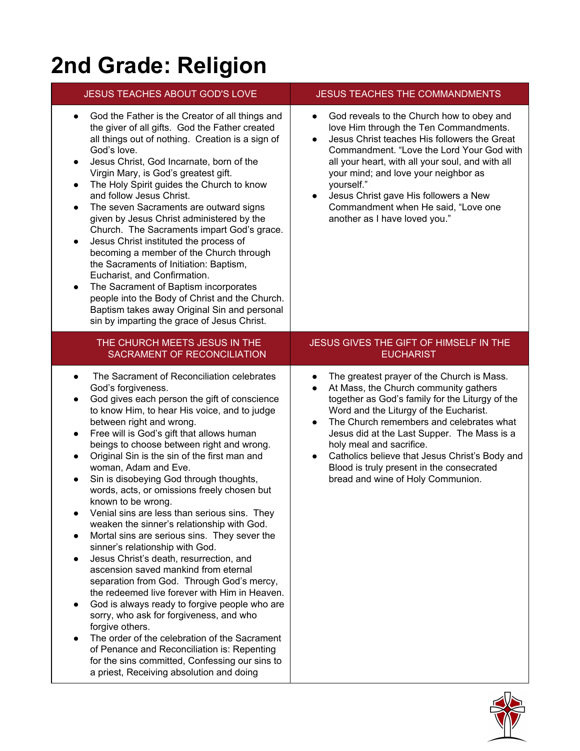# **2nd Grade: Religion**

## JESUS TEACHES ABOUT GOD'S LOVE JESUS TEACHES THE COMMANDMENTS

- God the Father is the Creator of all things and the giver of all gifts. God the Father created all things out of nothing. Creation is a sign of God's love.
- Jesus Christ, God Incarnate, born of the Virgin Mary, is God's greatest gift.
- The Holy Spirit guides the Church to know and follow Jesus Christ.
- The seven Sacraments are outward signs given by Jesus Christ administered by the Church. The Sacraments impart God's grace.
- Jesus Christ instituted the process of becoming a member of the Church through the Sacraments of Initiation: Baptism, Eucharist, and Confirmation.
- The Sacrament of Baptism incorporates people into the Body of Christ and the Church. Baptism takes away Original Sin and personal sin by imparting the grace of Jesus Christ.

#### THE CHURCH MEETS JESUS IN THE SACRAMENT OF RECONCILIATION

- The Sacrament of Reconciliation celebrates God's forgiveness.
- God gives each person the gift of conscience to know Him, to hear His voice, and to judge between right and wrong.
- Free will is God's gift that allows human beings to choose between right and wrong.
- Original Sin is the sin of the first man and woman, Adam and Eve.
- Sin is disobeying God through thoughts, words, acts, or omissions freely chosen but known to be wrong.
- Venial sins are less than serious sins. They weaken the sinner's relationship with God.
- Mortal sins are serious sins. They sever the sinner's relationship with God.
- Jesus Christ's death, resurrection, and ascension saved mankind from eternal separation from God. Through God's mercy, the redeemed live forever with Him in Heaven.
- God is always ready to forgive people who are sorry, who ask for forgiveness, and who forgive others.
- The order of the celebration of the Sacrament of Penance and Reconciliation is: Repenting for the sins committed, Confessing our sins to a priest, Receiving absolution and doing

- God reveals to the Church how to obey and love Him through the Ten Commandments.
- Jesus Christ teaches His followers the Great Commandment. "Love the Lord Your God with all your heart, with all your soul, and with all your mind; and love your neighbor as yourself."
- Jesus Christ gave His followers a New Commandment when He said, "Love one another as I have loved you."

### JESUS GIVES THE GIFT OF HIMSELF IN THE **EUCHARIST**

- The greatest prayer of the Church is Mass.
- At Mass, the Church community gathers together as God's family for the Liturgy of the Word and the Liturgy of the Eucharist.
- The Church remembers and celebrates what Jesus did at the Last Supper. The Mass is a holy meal and sacrifice.
- Catholics believe that Jesus Christ's Body and Blood is truly present in the consecrated bread and wine of Holy Communion.

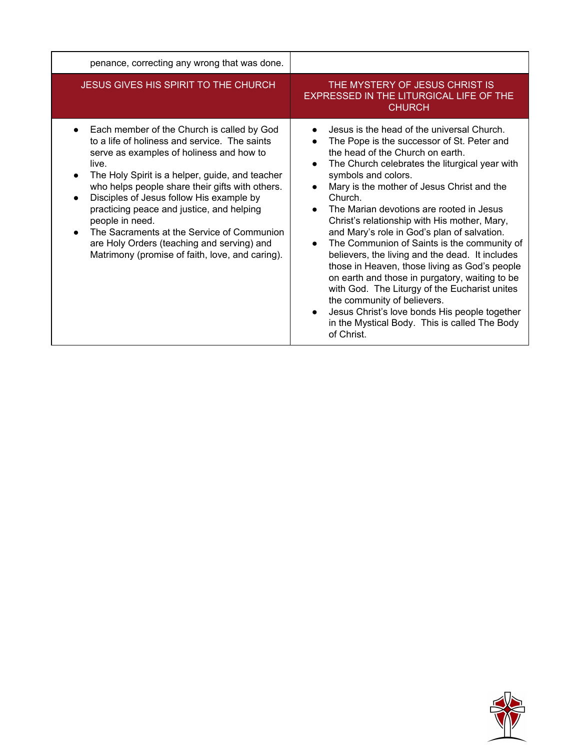| penance, correcting any wrong that was done.                                                                                                                                                                                                                                                                                                                                                                                                                                                                      |                                                                                                                                                                                                                                                                                                                                                                                                                                                                                                                                                                                                                                                                                                                                                                                                                |
|-------------------------------------------------------------------------------------------------------------------------------------------------------------------------------------------------------------------------------------------------------------------------------------------------------------------------------------------------------------------------------------------------------------------------------------------------------------------------------------------------------------------|----------------------------------------------------------------------------------------------------------------------------------------------------------------------------------------------------------------------------------------------------------------------------------------------------------------------------------------------------------------------------------------------------------------------------------------------------------------------------------------------------------------------------------------------------------------------------------------------------------------------------------------------------------------------------------------------------------------------------------------------------------------------------------------------------------------|
| <b>JESUS GIVES HIS SPIRIT TO THE CHURCH</b>                                                                                                                                                                                                                                                                                                                                                                                                                                                                       | THE MYSTERY OF JESUS CHRIST IS<br>EXPRESSED IN THE LITURGICAL LIFE OF THE<br><b>CHURCH</b>                                                                                                                                                                                                                                                                                                                                                                                                                                                                                                                                                                                                                                                                                                                     |
| Each member of the Church is called by God<br>to a life of holiness and service. The saints<br>serve as examples of holiness and how to<br>live.<br>The Holy Spirit is a helper, guide, and teacher<br>who helps people share their gifts with others.<br>Disciples of Jesus follow His example by<br>practicing peace and justice, and helping<br>people in need.<br>The Sacraments at the Service of Communion<br>are Holy Orders (teaching and serving) and<br>Matrimony (promise of faith, love, and caring). | Jesus is the head of the universal Church.<br>The Pope is the successor of St. Peter and<br>the head of the Church on earth.<br>The Church celebrates the liturgical year with<br>symbols and colors.<br>Mary is the mother of Jesus Christ and the<br>Church.<br>The Marian devotions are rooted in Jesus<br>Christ's relationship with His mother, Mary,<br>and Mary's role in God's plan of salvation.<br>The Communion of Saints is the community of<br>believers, the living and the dead. It includes<br>those in Heaven, those living as God's people<br>on earth and those in purgatory, waiting to be<br>with God. The Liturgy of the Eucharist unites<br>the community of believers.<br>Jesus Christ's love bonds His people together<br>in the Mystical Body. This is called The Body<br>of Christ. |

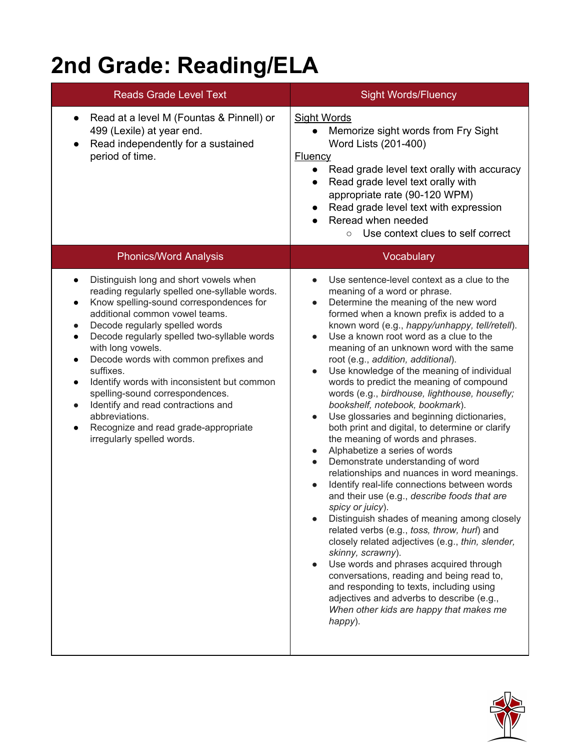# **2nd Grade: Reading/ELA**

| <b>Reads Grade Level Text</b>                                                                                                                                                                                                                                                                                                                                                                                                                                                                                                                                                                                                  | <b>Sight Words/Fluency</b>                                                                                                                                                                                                                                                                                                                                                                                                                                                                                                                                                                                                                                                                                                                                                                                                                                                                                                                                                                                                                                                                                                                                                                                                                                                                                                                                                                                                                                 |
|--------------------------------------------------------------------------------------------------------------------------------------------------------------------------------------------------------------------------------------------------------------------------------------------------------------------------------------------------------------------------------------------------------------------------------------------------------------------------------------------------------------------------------------------------------------------------------------------------------------------------------|------------------------------------------------------------------------------------------------------------------------------------------------------------------------------------------------------------------------------------------------------------------------------------------------------------------------------------------------------------------------------------------------------------------------------------------------------------------------------------------------------------------------------------------------------------------------------------------------------------------------------------------------------------------------------------------------------------------------------------------------------------------------------------------------------------------------------------------------------------------------------------------------------------------------------------------------------------------------------------------------------------------------------------------------------------------------------------------------------------------------------------------------------------------------------------------------------------------------------------------------------------------------------------------------------------------------------------------------------------------------------------------------------------------------------------------------------------|
| Read at a level M (Fountas & Pinnell) or<br>499 (Lexile) at year end.<br>Read independently for a sustained<br>period of time.                                                                                                                                                                                                                                                                                                                                                                                                                                                                                                 | <b>Sight Words</b><br>Memorize sight words from Fry Sight<br>$\bullet$<br>Word Lists (201-400)<br>Fluency<br>Read grade level text orally with accuracy<br>Read grade level text orally with<br>$\bullet$<br>appropriate rate (90-120 WPM)<br>Read grade level text with expression<br>Reread when needed<br>Use context clues to self correct<br>$\circ$                                                                                                                                                                                                                                                                                                                                                                                                                                                                                                                                                                                                                                                                                                                                                                                                                                                                                                                                                                                                                                                                                                  |
| <b>Phonics/Word Analysis</b>                                                                                                                                                                                                                                                                                                                                                                                                                                                                                                                                                                                                   | Vocabulary                                                                                                                                                                                                                                                                                                                                                                                                                                                                                                                                                                                                                                                                                                                                                                                                                                                                                                                                                                                                                                                                                                                                                                                                                                                                                                                                                                                                                                                 |
| Distinguish long and short vowels when<br>$\bullet$<br>reading regularly spelled one-syllable words.<br>Know spelling-sound correspondences for<br>$\bullet$<br>additional common vowel teams.<br>Decode regularly spelled words<br>$\bullet$<br>Decode regularly spelled two-syllable words<br>$\bullet$<br>with long vowels.<br>Decode words with common prefixes and<br>$\bullet$<br>suffixes.<br>Identify words with inconsistent but common<br>spelling-sound correspondences.<br>Identify and read contractions and<br>$\bullet$<br>abbreviations.<br>Recognize and read grade-appropriate<br>irregularly spelled words. | Use sentence-level context as a clue to the<br>$\bullet$<br>meaning of a word or phrase.<br>Determine the meaning of the new word<br>$\bullet$<br>formed when a known prefix is added to a<br>known word (e.g., happy/unhappy, tell/retell).<br>Use a known root word as a clue to the<br>$\bullet$<br>meaning of an unknown word with the same<br>root (e.g., addition, additional).<br>Use knowledge of the meaning of individual<br>$\bullet$<br>words to predict the meaning of compound<br>words (e.g., birdhouse, lighthouse, housefly;<br>bookshelf, notebook, bookmark).<br>Use glossaries and beginning dictionaries,<br>$\bullet$<br>both print and digital, to determine or clarify<br>the meaning of words and phrases.<br>Alphabetize a series of words<br>$\bullet$<br>Demonstrate understanding of word<br>$\bullet$<br>relationships and nuances in word meanings.<br>Identify real-life connections between words<br>$\bullet$<br>and their use (e.g., describe foods that are<br>spicy or juicy).<br>Distinguish shades of meaning among closely<br>$\bullet$<br>related verbs (e.g., toss, throw, hurl) and<br>closely related adjectives (e.g., thin, slender,<br>skinny, scrawny).<br>Use words and phrases acquired through<br>$\bullet$<br>conversations, reading and being read to,<br>and responding to texts, including using<br>adjectives and adverbs to describe (e.g.,<br>When other kids are happy that makes me<br>happy). |

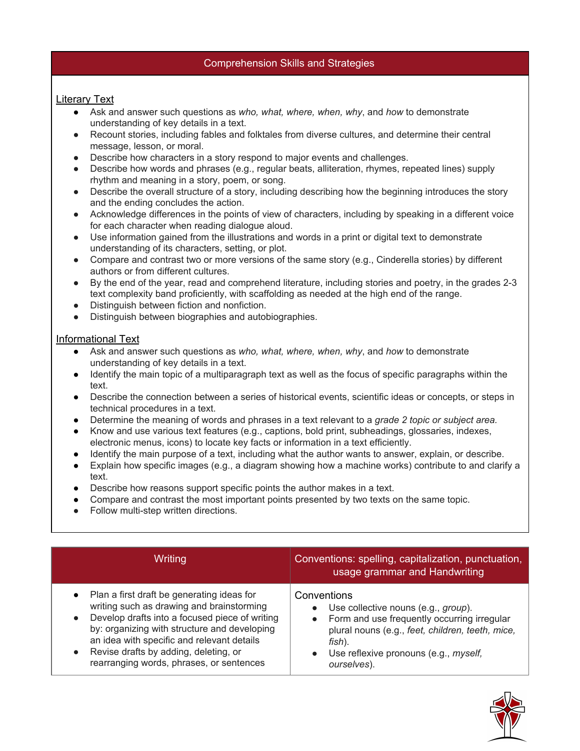### Comprehension Skills and Strategies

### Literary Text

- Ask and answer such questions as *who, what, where, when, why*, and *how* to demonstrate understanding of key details in a text.
- Recount stories, including fables and folktales from diverse cultures, and determine their central message, lesson, or moral.
- Describe how characters in a story respond to major events and challenges.
- Describe how words and phrases (e.g., regular beats, alliteration, rhymes, repeated lines) supply rhythm and meaning in a story, poem, or song.
- Describe the overall structure of a story, including describing how the beginning introduces the story and the ending concludes the action[.](http://www.corestandards.org/ELA-Literacy/RL/2/6/)
- Acknowledge differences in the points of view of characters, including by speaking in a different voice for each character when reading dialogue aloud[.](http://www.corestandards.org/ELA-Literacy/RL/2/7/)
- Use information gained from the illustrations and words in a print or digital text to demonstrate understanding of its characters, setting, or plot[.](http://www.corestandards.org/ELA-Literacy/RL/2/9/)
- Compare and contrast two or more versions of the same story (e.g., Cinderella stories) by different authors or from different cultures[.](http://www.corestandards.org/ELA-Literacy/RL/2/10/)
- By the end of the year, read and comprehend literature, including stories and poetry, in the grades 2-3 text complexity band proficiently, with scaffolding as needed at the high end of the range.
- Distinguish between fiction and nonfiction.
- Distinguish between biographies and autobiographies.

### Informational Text

- Ask and answer such questions as *who, what, where, when, why*, and *how* to demonstrate understanding of key details in a text[.](http://www.corestandards.org/ELA-Literacy/RI/2/2/)
- Identify the main topic of a multiparagraph text as well as the focus of specific paragraphs within the text[.](http://www.corestandards.org/ELA-Literacy/RI/2/3/)
- Describe the connection between a series of historical events, scientific ideas or concepts, or steps in technical procedures in a text[.](http://www.corestandards.org/ELA-Literacy/RI/2/4/)
- Determine the meaning of words and phrases in a text relevant to a *grade 2 topic or subject area[.](http://www.corestandards.org/ELA-Literacy/RI/2/5/)*
- Know and use various text features (e.g., captions, bold print, subheadings, glossaries, indexes, electronic menus, icons) to locate key facts or information in a text efficiently.
- Identify the main purpose of a text, including what the author wants to answer, explain, or describe[.](http://www.corestandards.org/ELA-Literacy/RI/2/7/)
- Explain how specific images (e.g., a diagram showing how a machine works) contribute to and clarify a text.
- Describe how reasons support specific points the author makes in a text[.](http://www.corestandards.org/ELA-Literacy/RI/2/9/)
- Compare and contrast the most important points presented by two texts on the same topic.
- Follow multi-step written directions.

| Writing                                                                                                                                                                                                                                                                                                                                                | Conventions: spelling, capitalization, punctuation,<br>usage grammar and Handwriting                                                                                                                                                                                  |
|--------------------------------------------------------------------------------------------------------------------------------------------------------------------------------------------------------------------------------------------------------------------------------------------------------------------------------------------------------|-----------------------------------------------------------------------------------------------------------------------------------------------------------------------------------------------------------------------------------------------------------------------|
| Plan a first draft be generating ideas for<br>$\bullet$<br>writing such as drawing and brainstorming<br>Develop drafts into a focused piece of writing<br>$\bullet$<br>by: organizing with structure and developing<br>an idea with specific and relevant details<br>Revise drafts by adding, deleting, or<br>rearranging words, phrases, or sentences | Conventions<br>Use collective nouns (e.g., group).<br>$\bullet$<br>Form and use frequently occurring irregular<br>$\bullet$<br>plural nouns (e.g., feet, children, teeth, mice,<br>fish).<br>Use reflexive pronouns (e.g., <i>myself,</i><br>$\bullet$<br>ourselves). |

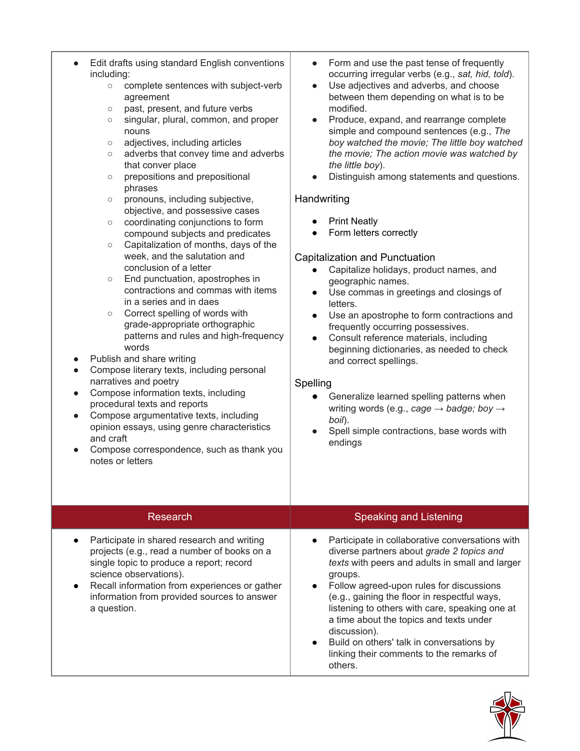| Form and use the past tense of frequently<br>$\bullet$<br>occurring irregular verbs (e.g., sat, hid, told).<br>Use adjectives and adverbs, and choose<br>$\bullet$                                                                                                                                                                                                                                                                                                                                                                                                                                                                                                                                                                                                                                                                                                                                                                                                                                                        |
|---------------------------------------------------------------------------------------------------------------------------------------------------------------------------------------------------------------------------------------------------------------------------------------------------------------------------------------------------------------------------------------------------------------------------------------------------------------------------------------------------------------------------------------------------------------------------------------------------------------------------------------------------------------------------------------------------------------------------------------------------------------------------------------------------------------------------------------------------------------------------------------------------------------------------------------------------------------------------------------------------------------------------|
| between them depending on what is to be<br>modified.<br>Produce, expand, and rearrange complete<br>$\bullet$<br>simple and compound sentences (e.g., The<br>boy watched the movie; The little boy watched<br>the movie; The action movie was watched by<br>the little boy).<br>Distinguish among statements and questions.<br>Handwriting<br><b>Print Neatly</b><br>Form letters correctly<br>Capitalization and Punctuation<br>Capitalize holidays, product names, and<br>$\bullet$<br>geographic names.<br>Use commas in greetings and closings of<br>$\bullet$<br>letters.<br>Use an apostrophe to form contractions and<br>$\bullet$<br>frequently occurring possessives.<br>Consult reference materials, including<br>$\bullet$<br>beginning dictionaries, as needed to check<br>and correct spellings.<br>Spelling<br>Generalize learned spelling patterns when<br>$\bullet$<br>writing words (e.g., cage $\rightarrow$ badge; boy $\rightarrow$<br>boil).<br>Spell simple contractions, base words with<br>endings |
| <b>Speaking and Listening</b>                                                                                                                                                                                                                                                                                                                                                                                                                                                                                                                                                                                                                                                                                                                                                                                                                                                                                                                                                                                             |
| Participate in collaborative conversations with<br>diverse partners about grade 2 topics and<br>texts with peers and adults in small and larger<br>groups.<br>Follow agreed-upon rules for discussions<br>(e.g., gaining the floor in respectful ways,<br>listening to others with care, speaking one at<br>a time about the topics and texts under<br>discussion).<br>Build on others' talk in conversations by<br>linking their comments to the remarks of<br>others.                                                                                                                                                                                                                                                                                                                                                                                                                                                                                                                                                   |
|                                                                                                                                                                                                                                                                                                                                                                                                                                                                                                                                                                                                                                                                                                                                                                                                                                                                                                                                                                                                                           |

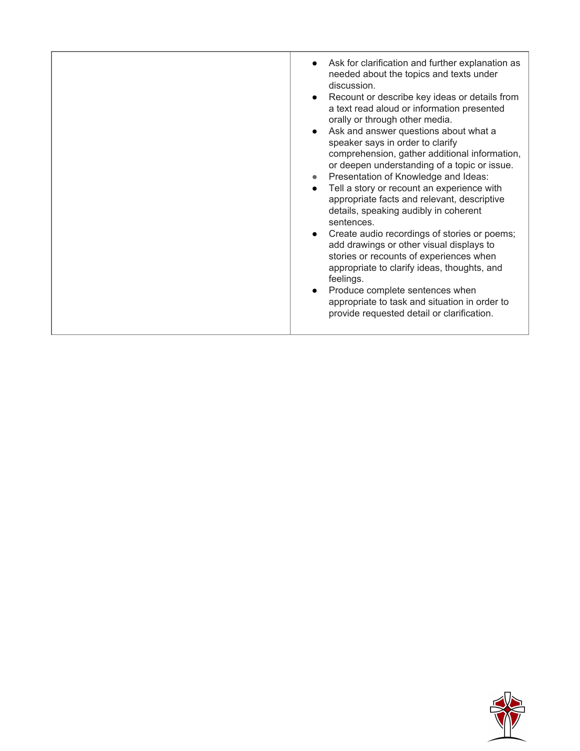| Ask for clarification and further explanation as<br>needed about the topics and texts under<br>discussion.<br>Recount or describe key ideas or details from<br>a text read aloud or information presented<br>orally or through other media.<br>Ask and answer questions about what a<br>speaker says in order to clarify<br>comprehension, gather additional information,<br>or deepen understanding of a topic or issue.<br>Presentation of Knowledge and Ideas:<br>Tell a story or recount an experience with<br>appropriate facts and relevant, descriptive<br>details, speaking audibly in coherent<br>sentences.<br>Create audio recordings of stories or poems;<br>add drawings or other visual displays to<br>stories or recounts of experiences when<br>appropriate to clarify ideas, thoughts, and<br>feelings.<br>Produce complete sentences when<br>appropriate to task and situation in order to<br>provide requested detail or clarification. |
|------------------------------------------------------------------------------------------------------------------------------------------------------------------------------------------------------------------------------------------------------------------------------------------------------------------------------------------------------------------------------------------------------------------------------------------------------------------------------------------------------------------------------------------------------------------------------------------------------------------------------------------------------------------------------------------------------------------------------------------------------------------------------------------------------------------------------------------------------------------------------------------------------------------------------------------------------------|

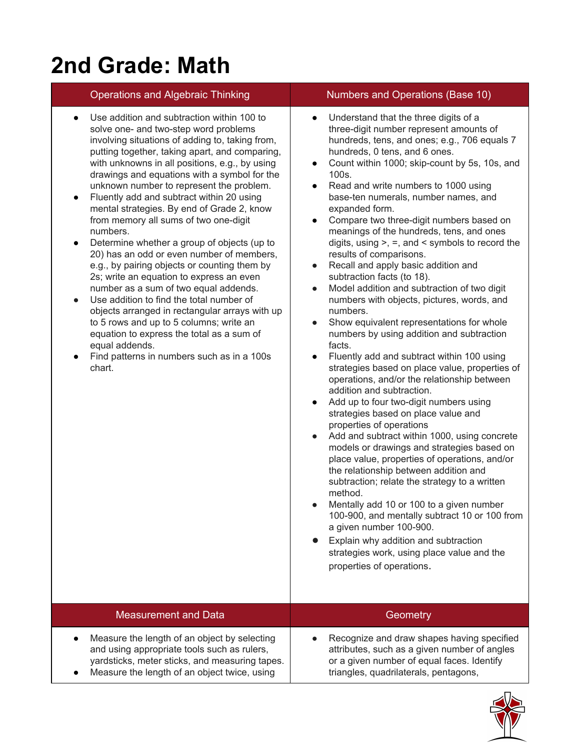# **2nd Grade: Math**

- Use addition and subtraction within 100 to solve one- and two-step word problems involving situations of adding to, taking from, putting together, taking apart, and comparing, with unknowns in all positions, e.g., by using drawings and equations with a symbol for the unknown number to represent the problem.
- Fluently add and subtract within 20 using mental strategies. By end of Grade 2, know from memory all sums of two one-digit numbers.
- Determine whether a group of objects (up to 20) has an odd or even number of members, e.g., by pairing objects or counting them by 2s; write an equation to express an even number as a sum of two equal addends.
- Use addition to find the total number of objects arranged in rectangular arrays with up to 5 rows and up to 5 columns; write an equation to express the total as a sum of equal addends.
- Find patterns in numbers such as in a 100s chart.

## Operations and Algebraic Thinking Numbers and Operations (Base 10)

- Understand that the three digits of a three-digit number represent amounts of hundreds, tens, and ones; e.g., 706 equals 7 hundreds, 0 tens, and 6 ones.
- Count within 1000; skip-count by 5s, 10s, and 100s.
- Read and write numbers to 1000 using base-ten numerals, number names, and expanded form.
- Compare two three-digit numbers based on meanings of the hundreds, tens, and ones digits, using  $>$ ,  $=$ , and  $\le$  symbols to record the results of comparisons.
- Recall and apply basic addition and subtraction facts (to 18).
- Model addition and subtraction of two digit numbers with objects, pictures, words, and numbers.
- Show equivalent representations for whole numbers by using addition and subtraction facts.
- Fluently add and subtract within 100 using strategies based on place value, properties of operations, and/or the relationship between addition and subtraction.
- Add up to four two-digit numbers using strategies based on place value and properties of operations
- Add and subtract within 1000, using concrete models or drawings and strategies based on place value, properties of operations, and/or the relationship between addition and subtraction; relate the strategy to a written method.
- Mentally add 10 or 100 to a given number 100-900, and mentally subtract 10 or 100 from a given number 100-900.
- Explain why addition and subtraction strategies work, using place value and the properties of operations.

| <b>Measurement and Data</b>                                                                                                                                                                   | Geometry                                                                                                                                                                          |
|-----------------------------------------------------------------------------------------------------------------------------------------------------------------------------------------------|-----------------------------------------------------------------------------------------------------------------------------------------------------------------------------------|
| Measure the length of an object by selecting<br>and using appropriate tools such as rulers,<br>yardsticks, meter sticks, and measuring tapes.<br>Measure the length of an object twice, using | Recognize and draw shapes having specified<br>attributes, such as a given number of angles<br>or a given number of equal faces. Identify<br>triangles, quadrilaterals, pentagons, |

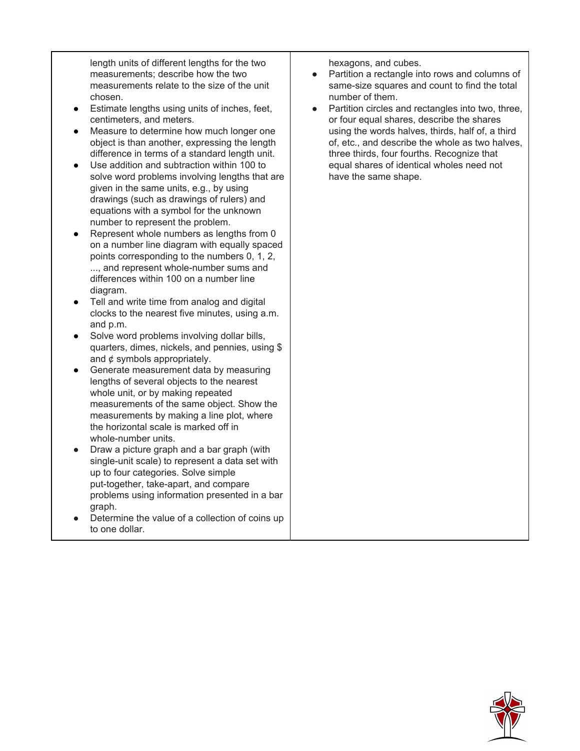length units of different lengths for the two measurements; describe how the two measurements relate to the size of the unit chosen.

- Estimate lengths using units of inches, feet, centimeters, and meters.
- Measure to determine how much longer one object is than another, expressing the length difference in terms of a standard length unit.
- Use addition and subtraction within 100 to solve word problems involving lengths that are given in the same units, e.g., by using drawings (such as drawings of rulers) and equations with a symbol for the unknown number to represent the problem.
- Represent whole numbers as lengths from 0 on a number line diagram with equally spaced points corresponding to the numbers 0, 1, 2, ..., and represent whole-number sums and differences within 100 on a number line diagram.
- Tell and write time from analog and digital clocks to the nearest five minutes, using a.m. and p.m[.](http://www.corestandards.org/Math/Content/2/MD/C/8/)
- Solve word problems involving dollar bills, quarters, dimes, nickels, and pennies, using \$ and ¢ symbols appropriately.
- Generate measurement data by measuring lengths of several objects to the nearest whole unit, or by making repeated measurements of the same object. Show the measurements by making a line plot, where the horizontal scale is marked off in whole-number units.
- Draw a picture graph and a bar graph (with single-unit scale) to represent a data set with up to four categories. Solve simple put-together, take-apart, and compare problems using information presented in a bar graph.
- Determine the value of a collection of coins up to one dollar.

hexagons, and cubes[.](http://www.corestandards.org/Math/Content/2/G/A/2/)

- Partition a rectangle into rows and columns of same-size squares and count to find the total number of them[.](http://www.corestandards.org/Math/Content/2/G/A/3/)
- Partition circles and rectangles into two, three, or four equal shares, describe the shares using the words halves, thirds, half of, a third of, etc., and describe the whole as two halves, three thirds, four fourths. Recognize that equal shares of identical wholes need not have the same shape.

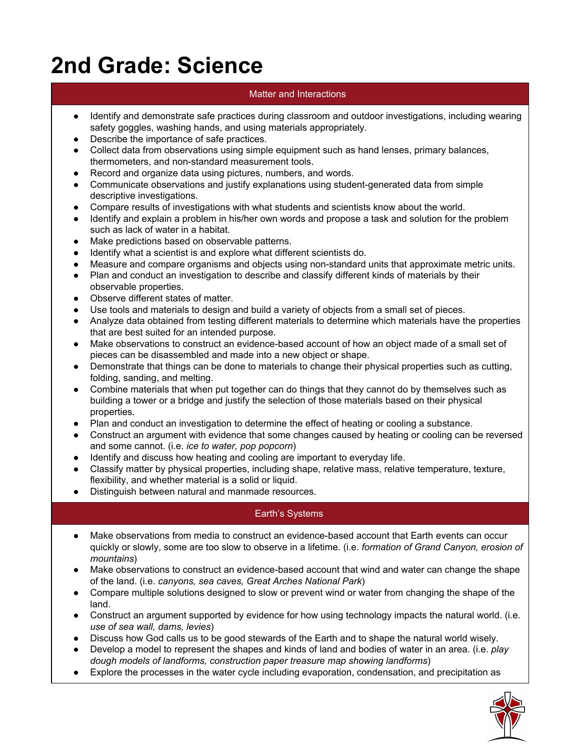# **2nd Grade: Science**

## Matter and Interactions

- Identify and demonstrate safe practices during classroom and outdoor investigations, including wearing safety goggles, washing hands, and using materials appropriately.
- Describe the importance of safe practices.
- Collect data from observations using simple equipment such as hand lenses, primary balances, thermometers, and non-standard measurement tools.
- Record and organize data using pictures, numbers, and words.
- Communicate observations and justify explanations using student-generated data from simple descriptive investigations.
- Compare results of investigations with what students and scientists know about the world.
- Identify and explain a problem in his/her own words and propose a task and solution for the problem such as lack of water in a habitat.
- Make predictions based on observable patterns.
- Identify what a scientist is and explore what different scientists do.
- Measure and compare organisms and objects using non-standard units that approximate metric units.
- Plan and conduct an investigation to describe and classify different kinds of materials by their observable properties.
- Observe different states of matter.
- Use tools and materials to design and build a variety of objects from a small set of pieces.
- Analyze data obtained from testing different materials to determine which materials have the properties that are best suited for an intended purpose.
- Make observations to construct an evidence-based account of how an object made of a small set of pieces can be disassembled and made into a new object or shape.
- Demonstrate that things can be done to materials to change their physical properties such as cutting, folding, sanding, and melting.
- Combine materials that when put together can do things that they cannot do by themselves such as building a tower or a bridge and justify the selection of those materials based on their physical properties.
- Plan and conduct an investigation to determine the effect of heating or cooling a substance.
- Construct an argument with evidence that some changes caused by heating or cooling can be reversed and some cannot. (i.e. *ice to water, pop popcorn*)
- Identify and discuss how heating and cooling are important to everyday life.
- Classify matter by physical properties, including shape, relative mass, relative temperature, texture, flexibility, and whether material is a solid or liquid.
- Distinguish between natural and manmade resources.

### Earth's Systems

- Make observations from media to construct an evidence-based account that Earth events can occur quickly or slowly, some are too slow to observe in a lifetime. (i.e. *formation of Grand Canyon, erosion of mountains*)
- Make observations to construct an evidence-based account that wind and water can change the shape of the land. (i.e. *canyons, sea caves, Great Arches National Park*)
- Compare multiple solutions designed to slow or prevent wind or water from changing the shape of the land.
- Construct an argument supported by evidence for how using technology impacts the natural world. (i.e. *use of sea wall, dams, levies*)
- Discuss how God calls us to be good stewards of the Earth and to shape the natural world wisely.
- Develop a model to represent the shapes and kinds of land and bodies of water in an area. (i.e. *play dough models of landforms, construction paper treasure map showing landforms*)
- Explore the processes in the water cycle including evaporation, condensation, and precipitation as

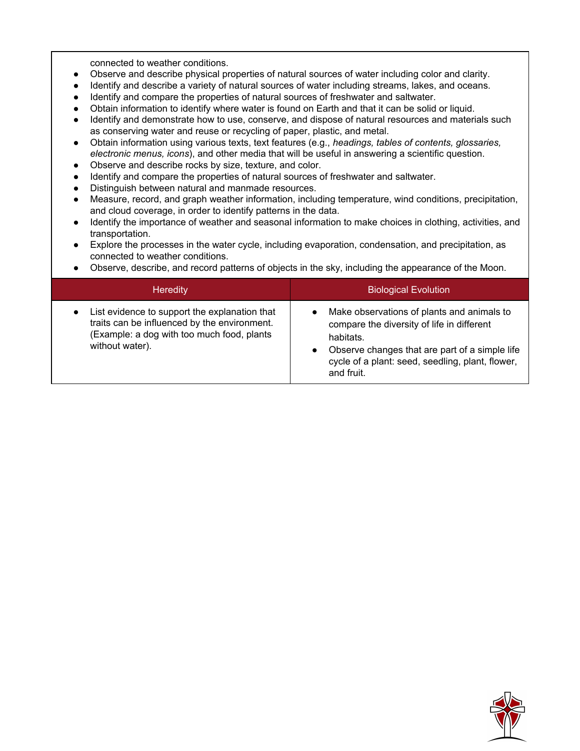connected to weather conditions.

- Observe and describe physical properties of natural sources of water including color and clarity.
- Identify and describe a variety of natural sources of water including streams, lakes, and oceans.
- Identify and compare the properties of natural sources of freshwater and saltwater.
- Obtain information to identify where water is found on Earth and that it can be solid or liquid.
- Identify and demonstrate how to use, conserve, and dispose of natural resources and materials such as conserving water and reuse or recycling of paper, plastic, and metal.
- Obtain information using various texts, text features (e.g., *headings, tables of contents, glossaries, electronic menus, icons*), and other media that will be useful in answering a scientific question.
- Observe and describe rocks by size, texture, and color.
- Identify and compare the properties of natural sources of freshwater and saltwater.
- Distinguish between natural and manmade resources.
- Measure, record, and graph weather information, including temperature, wind conditions, precipitation, and cloud coverage, in order to identify patterns in the data.
- Identify the importance of weather and seasonal information to make choices in clothing, activities, and transportation.
- Explore the processes in the water cycle, including evaporation, condensation, and precipitation, as connected to weather conditions.
- Observe, describe, and record patterns of objects in the sky, including the appearance of the Moon.

| List evidence to support the explanation that<br>Make observations of plants and animals to<br>$\bullet$<br>$\bullet$<br>traits can be influenced by the environment.<br>compare the diversity of life in different | <b>Biological Evolution</b> | <b>Heredity</b> |  |
|---------------------------------------------------------------------------------------------------------------------------------------------------------------------------------------------------------------------|-----------------------------|-----------------|--|
| (Example: a dog with too much food, plants<br>habitats.<br>without water).<br>Observe changes that are part of a simple life<br>$\bullet$<br>cycle of a plant: seed, seedling, plant, flower,<br>and fruit.         |                             |                 |  |

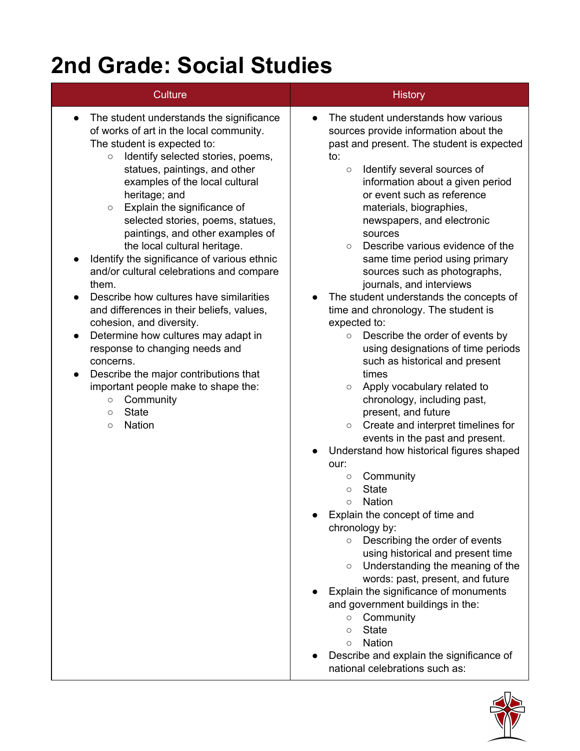# **2nd Grade: Social Studies**

| <b>Culture</b>                                                                                                                                                                                                                                                                                                                                                                                                                                                                                                                                                                                                                                                                                                                                                                                                                                                                                      | <b>History</b>                                                                                                                                                                                                                                                                                                                                                                                                                                                                                                                                                                                                                                                                                                                                                                                                                                                                                                                                                                                                                                                                                                                                                                                                                                                                                                                                                                                                                                                                                            |
|-----------------------------------------------------------------------------------------------------------------------------------------------------------------------------------------------------------------------------------------------------------------------------------------------------------------------------------------------------------------------------------------------------------------------------------------------------------------------------------------------------------------------------------------------------------------------------------------------------------------------------------------------------------------------------------------------------------------------------------------------------------------------------------------------------------------------------------------------------------------------------------------------------|-----------------------------------------------------------------------------------------------------------------------------------------------------------------------------------------------------------------------------------------------------------------------------------------------------------------------------------------------------------------------------------------------------------------------------------------------------------------------------------------------------------------------------------------------------------------------------------------------------------------------------------------------------------------------------------------------------------------------------------------------------------------------------------------------------------------------------------------------------------------------------------------------------------------------------------------------------------------------------------------------------------------------------------------------------------------------------------------------------------------------------------------------------------------------------------------------------------------------------------------------------------------------------------------------------------------------------------------------------------------------------------------------------------------------------------------------------------------------------------------------------------|
| The student understands the significance<br>$\bullet$<br>of works of art in the local community.<br>The student is expected to:<br>Identify selected stories, poems,<br>$\circ$<br>statues, paintings, and other<br>examples of the local cultural<br>heritage; and<br>Explain the significance of<br>$\circ$<br>selected stories, poems, statues,<br>paintings, and other examples of<br>the local cultural heritage.<br>Identify the significance of various ethnic<br>and/or cultural celebrations and compare<br>them.<br>Describe how cultures have similarities<br>and differences in their beliefs, values,<br>cohesion, and diversity.<br>Determine how cultures may adapt in<br>response to changing needs and<br>concerns.<br>Describe the major contributions that<br>important people make to shape the:<br>Community<br>$\circ$<br><b>State</b><br>$\circ$<br><b>Nation</b><br>$\circ$ | The student understands how various<br>$\bullet$<br>sources provide information about the<br>past and present. The student is expected<br>to:<br>Identify several sources of<br>$\circ$<br>information about a given period<br>or event such as reference<br>materials, biographies,<br>newspapers, and electronic<br>sources<br>Describe various evidence of the<br>$\circ$<br>same time period using primary<br>sources such as photographs,<br>journals, and interviews<br>The student understands the concepts of<br>time and chronology. The student is<br>expected to:<br>Describe the order of events by<br>$\circ$<br>using designations of time periods<br>such as historical and present<br>times<br>Apply vocabulary related to<br>$\circ$<br>chronology, including past,<br>present, and future<br>Create and interpret timelines for<br>$\circ$<br>events in the past and present.<br>Understand how historical figures shaped<br>our:<br>Community<br>$\bigcirc$<br><b>State</b><br>$\circ$<br><b>Nation</b><br>$\circ$<br>Explain the concept of time and<br>chronology by:<br>Describing the order of events<br>$\circ$<br>using historical and present time<br>Understanding the meaning of the<br>$\circ$<br>words: past, present, and future<br>Explain the significance of monuments<br>and government buildings in the:<br>Community<br>$\circ$<br><b>State</b><br>$\circ$<br><b>Nation</b><br>$\circ$<br>Describe and explain the significance of<br>national celebrations such as: |

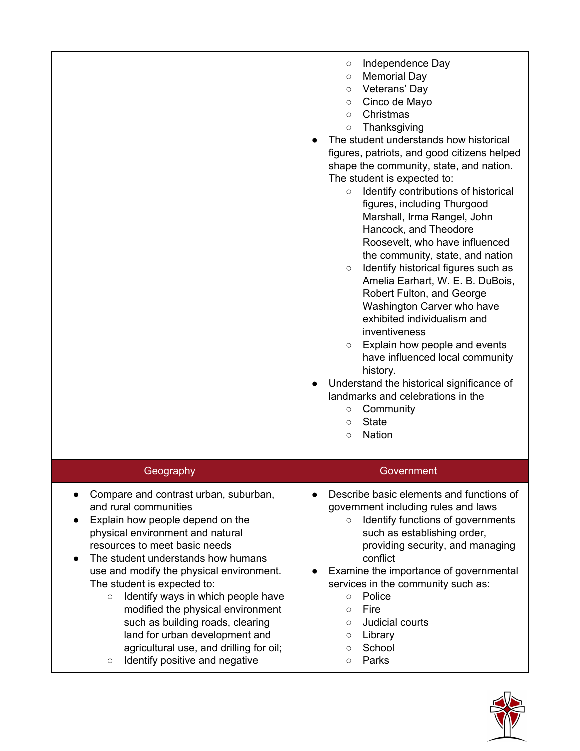|                                                                                                                                                                                                                                                                                                                                                                                                                                                                                                                                              | Independence Day<br>O<br><b>Memorial Day</b><br>$\circ$<br>Veterans' Day<br>$\circ$<br>Cinco de Mayo<br>$\circ$<br>Christmas<br>$\circ$<br>Thanksgiving<br>$\circ$<br>The student understands how historical<br>figures, patriots, and good citizens helped<br>shape the community, state, and nation.<br>The student is expected to:<br>Identify contributions of historical<br>$\circ$<br>figures, including Thurgood<br>Marshall, Irma Rangel, John<br>Hancock, and Theodore<br>Roosevelt, who have influenced<br>the community, state, and nation<br>Identify historical figures such as<br>$\circ$<br>Amelia Earhart, W. E. B. DuBois,<br>Robert Fulton, and George<br>Washington Carver who have<br>exhibited individualism and<br>inventiveness<br>Explain how people and events<br>$\circ$<br>have influenced local community<br>history.<br>Understand the historical significance of<br>landmarks and celebrations in the<br>Community<br>$\circ$<br><b>State</b><br>$\circ$<br><b>Nation</b><br>$\circ$ |
|----------------------------------------------------------------------------------------------------------------------------------------------------------------------------------------------------------------------------------------------------------------------------------------------------------------------------------------------------------------------------------------------------------------------------------------------------------------------------------------------------------------------------------------------|--------------------------------------------------------------------------------------------------------------------------------------------------------------------------------------------------------------------------------------------------------------------------------------------------------------------------------------------------------------------------------------------------------------------------------------------------------------------------------------------------------------------------------------------------------------------------------------------------------------------------------------------------------------------------------------------------------------------------------------------------------------------------------------------------------------------------------------------------------------------------------------------------------------------------------------------------------------------------------------------------------------------|
| Geography                                                                                                                                                                                                                                                                                                                                                                                                                                                                                                                                    | Government                                                                                                                                                                                                                                                                                                                                                                                                                                                                                                                                                                                                                                                                                                                                                                                                                                                                                                                                                                                                         |
| Compare and contrast urban, suburban,<br>and rural communities<br>Explain how people depend on the<br>physical environment and natural<br>resources to meet basic needs<br>The student understands how humans<br>use and modify the physical environment.<br>The student is expected to:<br>Identify ways in which people have<br>$\circ$<br>modified the physical environment<br>such as building roads, clearing<br>land for urban development and<br>agricultural use, and drilling for oil;<br>Identify positive and negative<br>$\circ$ | Describe basic elements and functions of<br>government including rules and laws<br>Identify functions of governments<br>$\circ$<br>such as establishing order,<br>providing security, and managing<br>conflict<br>Examine the importance of governmental<br>services in the community such as:<br>Police<br>$\circ$<br>Fire<br>$\circ$<br>Judicial courts<br>$\circ$<br>Library<br>O<br>School<br>$\circ$<br>Parks<br>O                                                                                                                                                                                                                                                                                                                                                                                                                                                                                                                                                                                            |

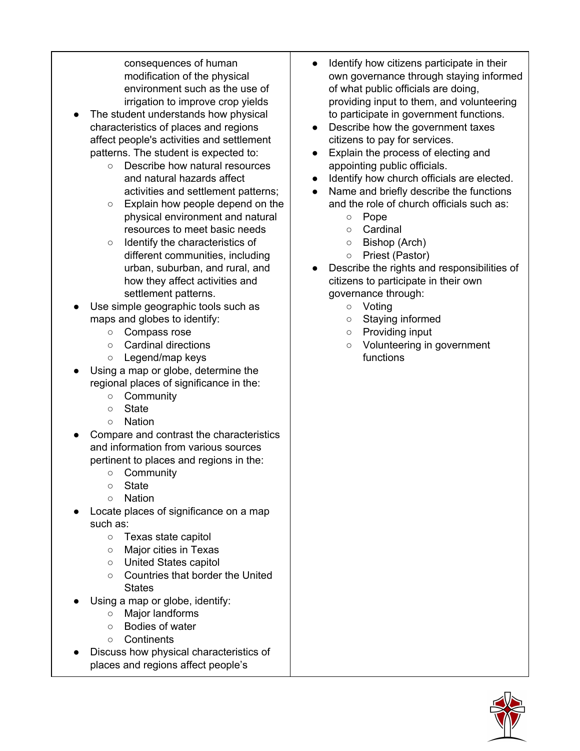consequences of human modification of the physical environment such as the use of irrigation to improve crop yields

- The student understands how physical characteristics of places and regions affect people's activities and settlement patterns. The student is expected to:
	- Describe how natural resources and natural hazards affect activities and settlement patterns;
	- Explain how people depend on the physical environment and natural resources to meet basic needs
	- Identify the characteristics of different communities, including urban, suburban, and rural, and how they affect activities and settlement patterns.
- Use simple geographic tools such as maps and globes to identify:
	- Compass rose
	- Cardinal directions
	- Legend/map keys
- Using a map or globe, determine the regional places of significance in the:
	- Community
	- State
	- Nation
- Compare and contrast the characteristics and information from various sources pertinent to places and regions in the:
	- Community
	- State
	- Nation
- Locate places of significance on a map such as:
	- Texas state capitol
	- Major cities in Texas
	- United States capitol
	- Countries that border the United **States**
- Using a map or globe, identify:
	- Major landforms
	- Bodies of water
	- Continents
- Discuss how physical characteristics of places and regions affect people's
- Identify how citizens participate in their own governance through staying informed of what public officials are doing, providing input to them, and volunteering to participate in government functions.
- Describe how the government taxes citizens to pay for services.
- Explain the process of electing and appointing public officials.
- Identify how church officials are elected.
- Name and briefly describe the functions and the role of church officials such as:
	- Pope
	- Cardinal
	- Bishop (Arch)
	- Priest (Pastor)
- Describe the rights and responsibilities of citizens to participate in their own governance through:
	- Voting
	- Staying informed
	- Providing input
	- Volunteering in government functions

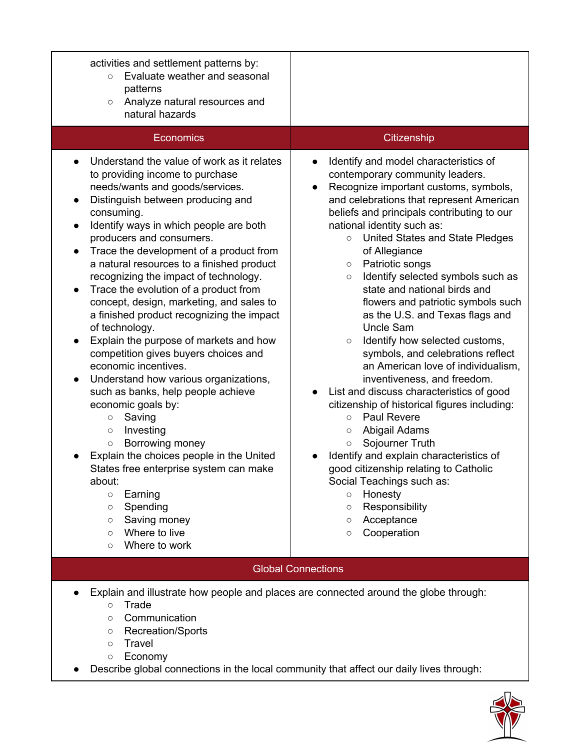| activities and settlement patterns by:<br>Evaluate weather and seasonal<br>$\circ$<br>patterns<br>Analyze natural resources and<br>$\bigcirc$<br>natural hazards                                                                                                                                                                                                                                                                                                                                                                                                                                                                                                                                                                                                                                                                                                                                                                                                                                                                                                                                                                        |                                                                                                                                                                                                                                                                                                                                                                                                                                                                                                                                                                                                                                                                                                                                                                                                                                                                                                                                                                                                                                                                                                                                                         |  |
|-----------------------------------------------------------------------------------------------------------------------------------------------------------------------------------------------------------------------------------------------------------------------------------------------------------------------------------------------------------------------------------------------------------------------------------------------------------------------------------------------------------------------------------------------------------------------------------------------------------------------------------------------------------------------------------------------------------------------------------------------------------------------------------------------------------------------------------------------------------------------------------------------------------------------------------------------------------------------------------------------------------------------------------------------------------------------------------------------------------------------------------------|---------------------------------------------------------------------------------------------------------------------------------------------------------------------------------------------------------------------------------------------------------------------------------------------------------------------------------------------------------------------------------------------------------------------------------------------------------------------------------------------------------------------------------------------------------------------------------------------------------------------------------------------------------------------------------------------------------------------------------------------------------------------------------------------------------------------------------------------------------------------------------------------------------------------------------------------------------------------------------------------------------------------------------------------------------------------------------------------------------------------------------------------------------|--|
| Economics                                                                                                                                                                                                                                                                                                                                                                                                                                                                                                                                                                                                                                                                                                                                                                                                                                                                                                                                                                                                                                                                                                                               | Citizenship                                                                                                                                                                                                                                                                                                                                                                                                                                                                                                                                                                                                                                                                                                                                                                                                                                                                                                                                                                                                                                                                                                                                             |  |
| Understand the value of work as it relates<br>to providing income to purchase<br>needs/wants and goods/services.<br>Distinguish between producing and<br>consuming.<br>Identify ways in which people are both<br>$\bullet$<br>producers and consumers.<br>Trace the development of a product from<br>$\bullet$<br>a natural resources to a finished product<br>recognizing the impact of technology.<br>Trace the evolution of a product from<br>$\bullet$<br>concept, design, marketing, and sales to<br>a finished product recognizing the impact<br>of technology.<br>Explain the purpose of markets and how<br>competition gives buyers choices and<br>economic incentives.<br>Understand how various organizations,<br>$\bullet$<br>such as banks, help people achieve<br>economic goals by:<br>Saving<br>$\bigcirc$<br>Investing<br>$\circ$<br>Borrowing money<br>$\circ$<br>Explain the choices people in the United<br>States free enterprise system can make<br>about:<br>Earning<br>$\circ$<br>Spending<br>$\circlearrowright$<br>Saving money<br>$\circlearrowright$<br>Where to live<br>$\circ$<br>Where to work<br>$\circ$ | Identify and model characteristics of<br>$\bullet$<br>contemporary community leaders.<br>Recognize important customs, symbols,<br>$\bullet$<br>and celebrations that represent American<br>beliefs and principals contributing to our<br>national identity such as:<br>United States and State Pledges<br>$\circ$<br>of Allegiance<br>Patriotic songs<br>$\circ$<br>Identify selected symbols such as<br>$\circ$<br>state and national birds and<br>flowers and patriotic symbols such<br>as the U.S. and Texas flags and<br><b>Uncle Sam</b><br>Identify how selected customs,<br>$\circ$<br>symbols, and celebrations reflect<br>an American love of individualism,<br>inventiveness, and freedom.<br>List and discuss characteristics of good<br>$\bullet$<br>citizenship of historical figures including:<br><b>Paul Revere</b><br>$\circ$<br>Abigail Adams<br>$\circ$<br>Sojourner Truth<br>$\circ$<br>Identify and explain characteristics of<br>good citizenship relating to Catholic<br>Social Teachings such as:<br>Honesty<br>$\circ$<br>Responsibility<br>$\circ$<br>Acceptance<br>$\circlearrowright$<br>Cooperation<br>$\circlearrowright$ |  |
| <b>Global Connections</b>                                                                                                                                                                                                                                                                                                                                                                                                                                                                                                                                                                                                                                                                                                                                                                                                                                                                                                                                                                                                                                                                                                               |                                                                                                                                                                                                                                                                                                                                                                                                                                                                                                                                                                                                                                                                                                                                                                                                                                                                                                                                                                                                                                                                                                                                                         |  |
| Explain and illustrate how people and places are connected around the globe through:<br>Trade<br>$\circ$<br>Communication<br>$\circlearrowright$<br><b>Recreation/Sports</b><br>$\circlearrowright$<br><b>Travel</b><br>$\circ$<br>Economy<br>$\circ$<br>Describe global connections in the local community that affect our daily lives through:                                                                                                                                                                                                                                                                                                                                                                                                                                                                                                                                                                                                                                                                                                                                                                                        |                                                                                                                                                                                                                                                                                                                                                                                                                                                                                                                                                                                                                                                                                                                                                                                                                                                                                                                                                                                                                                                                                                                                                         |  |